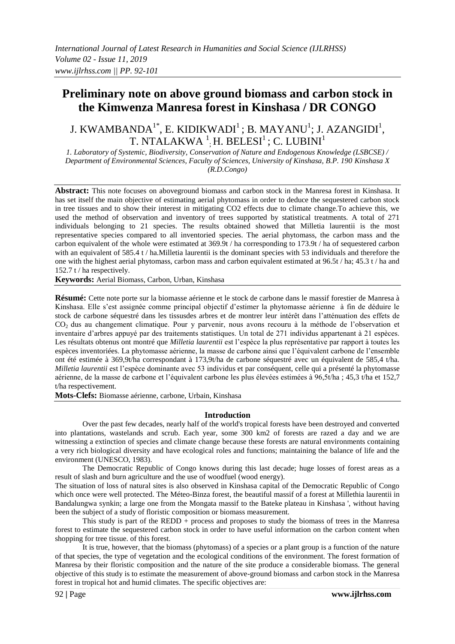# **Preliminary note on above ground biomass and carbon stock in the Kimwenza Manresa forest in Kinshasa / DR CONGO**

# J. KWAMBANDA $^{1*}$ , E. KIDIKWADI $^{1}$ ; B. MAYANU $^{1}$ ; J. AZANGIDI $^{1}$ , T. NTALAKWA  $^{1}$ ; H. BELESI $^{1}$  ; C. LUBINI $^{1}$

*1. Laboratory of Systemic, Biodiversity, Conservation of Nature and Endogenous Knowledge (LSBCSE) / Department of Environmental Sciences, Faculty of Sciences, University of Kinshasa, B.P. 190 Kinshasa X (R.D.Congo)*

**Abstract:** This note focuses on aboveground biomass and carbon stock in the Manresa forest in Kinshasa. It has set itself the main objective of estimating aerial phytomass in order to deduce the sequestered carbon stock in tree tissues and to show their interest in mitigating CO2 effects due to climate change.To achieve this, we used the method of observation and inventory of trees supported by statistical treatments. A total of 271 individuals belonging to 21 species. The results obtained showed that Milletia laurentii is the most representative species compared to all inventoried species. The aerial phytomass, the carbon mass and the carbon equivalent of the whole were estimated at 369.9t / ha corresponding to 173.9t / ha of sequestered carbon with an equivalent of 585.4 t / ha.Milletia laurentii is the dominant species with 53 individuals and therefore the one with the highest aerial phytomass, carbon mass and carbon equivalent estimated at 96.5t / ha; 45.3 t / ha and 152.7 t / ha respectively.

**Keywords:** Aerial Biomass, Carbon, Urban, Kinshasa

**Résumé:** Cette note porte sur la biomasse aérienne et le stock de carbone dans le massif forestier de Manresa à Kinshasa. Elle s'est assignée comme principal objectif d'estimer la phytomasse aérienne à fin de déduire le stock de carbone séquestré dans les tissusdes arbres et de montrer leur intérêt dans l'atténuation des effets de CO2 dus au changement climatique. Pour y parvenir, nous avons recouru à la méthode de l'observation et inventaire d'arbres appuyé par des traitements statistiques. Un total de 271 individus appartenant à 21 espèces. Les résultats obtenus ont montré que *Milletia laurentii* est l'espèce la plus représentative par rapport à toutes les espèces inventoriées. La phytomasse aérienne, la masse de carbone ainsi que l'équivalent carbone de l'ensemble ont été estimée à 369,9t/ha correspondant à 173,9t/ha de carbone séquestré avec un équivalent de 585,4 t/ha. *Milletia laurentii* est l'espèce dominante avec 53 individus et par conséquent, celle qui a présenté la phytomasse aérienne, de la masse de carbone et l'équivalent carbone les plus élevées estimées à 96,5t/ha ; 45,3 t/ha et 152,7 t/ha respectivement.

**Mots-Clefs:** Biomasse aérienne, carbone, Urbain, Kinshasa

#### **Introduction**

Over the past few decades, nearly half of the world's tropical forests have been destroyed and converted into plantations, wastelands and scrub. Each year, some 300 km2 of forests are razed a day and we are witnessing a extinction of species and climate change because these forests are natural environments containing a very rich biological diversity and have ecological roles and functions; maintaining the balance of life and the environment (UNESCO, 1983).

The Democratic Republic of Congo knows during this last decade; huge losses of forest areas as a result of slash and burn agriculture and the use of woodfuel (wood energy).

The situation of loss of natural sites is also observed in Kinshasa capital of the Democratic Republic of Congo which once were well protected. The Méteo-Binza forest, the beautiful massif of a forest at Millethia laurentii in Bandalungwa synkin; a large one from the Mongata massif to the Bateke plateau in Kinshasa ', without having been the subject of a study of floristic composition or biomass measurement.

This study is part of the REDD + process and proposes to study the biomass of trees in the Manresa forest to estimate the sequestered carbon stock in order to have useful information on the carbon content when shopping for tree tissue. of this forest.

It is true, however, that the biomass (phytomass) of a species or a plant group is a function of the nature of that species, the type of vegetation and the ecological conditions of the environment. The forest formation of Manresa by their floristic composition and the nature of the site produce a considerable biomass. The general objective of this study is to estimate the measurement of above-ground biomass and carbon stock in the Manresa forest in tropical hot and humid climates. The specific objectives are: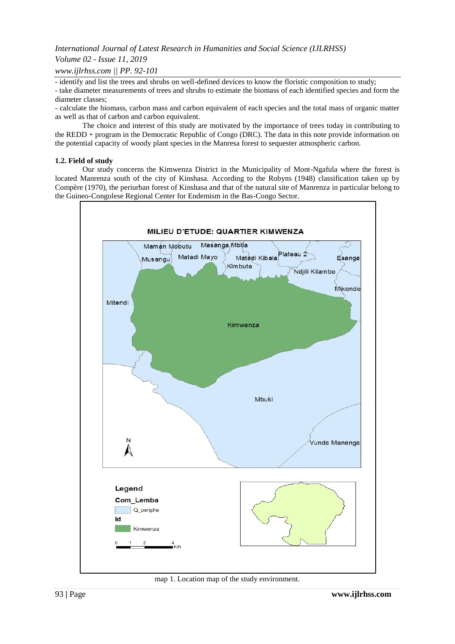## *Volume 02 - Issue 11, 2019*

## *www.ijlrhss.com || PP. 92-101*

- identify and list the trees and shrubs on well-defined devices to know the floristic composition to study;

- take diameter measurements of trees and shrubs to estimate the biomass of each identified species and form the diameter classes;

- calculate the biomass, carbon mass and carbon equivalent of each species and the total mass of organic matter as well as that of carbon and carbon equivalent.

The choice and interest of this study are motivated by the importance of trees today in contributing to the REDD + program in the Democratic Republic of Congo (DRC). The data in this note provide information on the potential capacity of woody plant species in the Manresa forest to sequester atmospheric carbon.

## **1.2. Field of study**

Our study concerns the Kimwenza District in the Municipality of Mont-Ngafula where the forest is located Manrenza south of the city of Kinshasa. According to the Robyns (1948) classification taken up by Compère (1970), the periurban forest of Kinshasa and that of the natural site of Manrenza in particular belong to the Guineo-Congolese Regional Center for Endemism in the Bas-Congo Sector.



map 1. Location map of the study environment.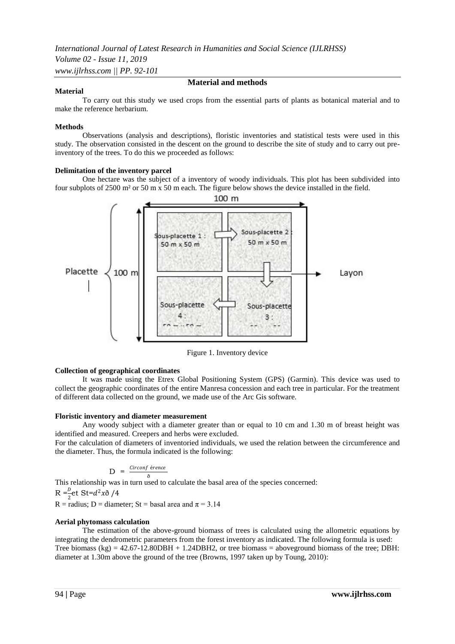#### **Material**

# **Material and methods**

To carry out this study we used crops from the essential parts of plants as botanical material and to make the reference herbarium.

#### **Methods**

Observations (analysis and descriptions), floristic inventories and statistical tests were used in this study. The observation consisted in the descent on the ground to describe the site of study and to carry out preinventory of the trees. To do this we proceeded as follows:

#### **Delimitation of the inventory parcel**

One hectare was the subject of a inventory of woody individuals. This plot has been subdivided into four subplots of 2500 m² or 50 m x 50 m each. The figure below shows the device installed in the field.



Figure 1. Inventory device

#### **Collection of geographical coordinates**

It was made using the Etrex Global Positioning System (GPS) (Garmin). This device was used to collect the geographic coordinates of the entire Manresa concession and each tree in particular. For the treatment of different data collected on the ground, we made use of the Arc Gis software.

#### **Floristic inventory and diameter measurement**

Any woody subject with a diameter greater than or equal to 10 cm and 1.30 m of breast height was identified and measured. Creepers and herbs were excluded.

For the calculation of diameters of inventoried individuals, we used the relation between the circumference and the diameter. Thus, the formula indicated is the following:

$$
D = \frac{Circonf \text{ érence}}{n}
$$

This relationship was in turn used to calculate the basal area of the species concerned:

 $R = \frac{D}{2}$ et St= $d^2x\delta/4$ 

R = radius; D = diameter; St = basal area and  $\pi$  = 3.14

#### **Aerial phytomass calculation**

The estimation of the above-ground biomass of trees is calculated using the allometric equations by integrating the dendrometric parameters from the forest inventory as indicated. The following formula is used: Tree biomass  $(kg) = 42.67 - 12.80DBH + 1.24DBH2$ , or tree biomass = aboveground biomass of the tree; DBH: diameter at 1.30m above the ground of the tree (Browns, 1997 taken up by Toung, 2010):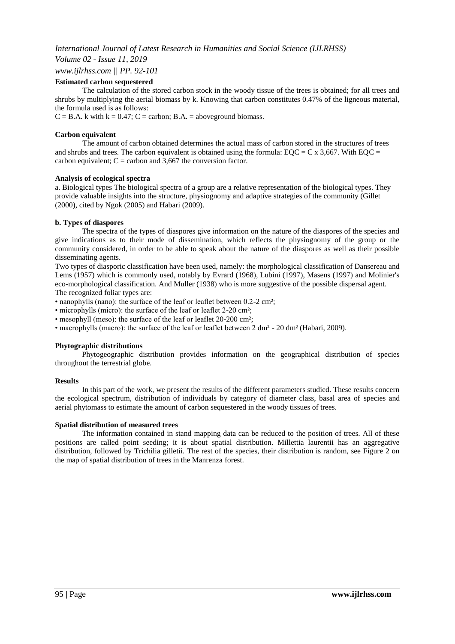*Volume 02 - Issue 11, 2019*

*www.ijlrhss.com || PP. 92-101*

## **Estimated carbon sequestered**

The calculation of the stored carbon stock in the woody tissue of the trees is obtained; for all trees and shrubs by multiplying the aerial biomass by k. Knowing that carbon constitutes 0.47% of the ligneous material, the formula used is as follows:

 $C = B.A.$  k with  $k = 0.47$ ;  $C =$  carbon;  $B.A. =$  aboveground biomass.

## **Carbon equivalent**

The amount of carbon obtained determines the actual mass of carbon stored in the structures of trees and shrubs and trees. The carbon equivalent is obtained using the formula:  $EQC = C \times 3,667$ . With  $EQC =$ carbon equivalent;  $C =$  carbon and 3,667 the conversion factor.

## **Analysis of ecological spectra**

a. Biological types The biological spectra of a group are a relative representation of the biological types. They provide valuable insights into the structure, physiognomy and adaptive strategies of the community (Gillet (2000), cited by Ngok (2005) and Habari (2009).

## **b. Types of diaspores**

The spectra of the types of diaspores give information on the nature of the diaspores of the species and give indications as to their mode of dissemination, which reflects the physiognomy of the group or the community considered, in order to be able to speak about the nature of the diaspores as well as their possible disseminating agents.

Two types of diasporic classification have been used, namely: the morphological classification of Dansereau and Lems (1957) which is commonly used, notably by Evrard (1968), Lubini (1997), Masens (1997) and Molinier's eco-morphological classification. And Muller (1938) who is more suggestive of the possible dispersal agent. The recognized foliar types are:

• nanophylls (nano): the surface of the leaf or leaflet between 0.2-2 cm²;

• microphylls (micro): the surface of the leaf or leaflet 2-20 cm²;

• mesophyll (meso): the surface of the leaf or leaflet 20-200 cm²;

• macrophylls (macro): the surface of the leaf or leaflet between 2 dm<sup>2</sup> - 20 dm<sup>2</sup> (Habari, 2009).

#### **Phytographic distributions**

Phytogeographic distribution provides information on the geographical distribution of species throughout the terrestrial globe.

#### **Results**

In this part of the work, we present the results of the different parameters studied. These results concern the ecological spectrum, distribution of individuals by category of diameter class, basal area of species and aerial phytomass to estimate the amount of carbon sequestered in the woody tissues of trees.

#### **Spatial distribution of measured trees**

The information contained in stand mapping data can be reduced to the position of trees. All of these positions are called point seeding; it is about spatial distribution. Millettia laurentii has an aggregative distribution, followed by Trichilia gilletii. The rest of the species, their distribution is random, see Figure 2 on the map of spatial distribution of trees in the Manrenza forest.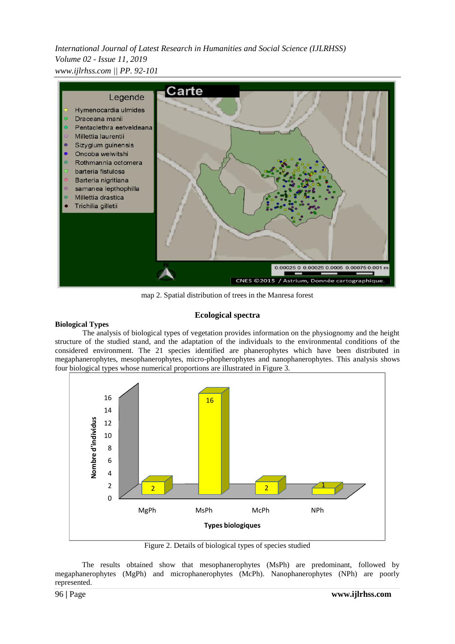*International Journal of Latest Research in Humanities and Social Science (IJLRHSS) Volume 02 - Issue 11, 2019 www.ijlrhss.com || PP. 92-101*



map 2. Spatial distribution of trees in the Manresa forest

# **Ecological spectra**

## **Biological Types**

The analysis of biological types of vegetation provides information on the physiognomy and the height structure of the studied stand, and the adaptation of the individuals to the environmental conditions of the considered environment. The 21 species identified are phanerophytes which have been distributed in megaphanerophytes, mesophanerophytes, micro-phopherophytes and nanophanerophytes. This analysis shows four biological types whose numerical proportions are illustrated in Figure 3.



Figure 2. Details of biological types of species studied

The results obtained show that mesophanerophytes (MsPh) are predominant, followed by megaphanerophytes (MgPh) and microphanerophytes (McPh). Nanophanerophytes (NPh) are poorly represented.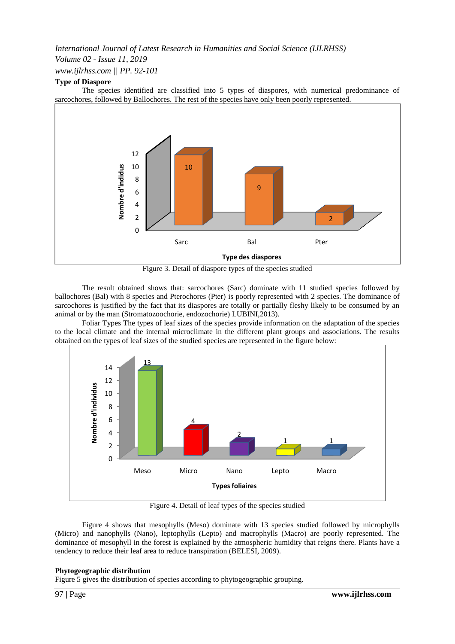# *Volume 02 - Issue 11, 2019*

*www.ijlrhss.com || PP. 92-101*

# **Type of Diaspore**

The species identified are classified into 5 types of diaspores, with numerical predominance of sarcochores, followed by Ballochores. The rest of the species have only been poorly represented.



Figure 3. Detail of diaspore types of the species studied

The result obtained shows that: sarcochores (Sarc) dominate with 11 studied species followed by ballochores (Bal) with 8 species and Pterochores (Pter) is poorly represented with 2 species. The dominance of sarcochores is justified by the fact that its diaspores are totally or partially fleshy likely to be consumed by an animal or by the man (Stromatozoochorie, endozochorie) LUBINI,2013).

Foliar Types The types of leaf sizes of the species provide information on the adaptation of the species to the local climate and the internal microclimate in the different plant groups and associations. The results obtained on the types of leaf sizes of the studied species are represented in the figure below:



Figure 4. Detail of leaf types of the species studied

Figure 4 shows that mesophylls (Meso) dominate with 13 species studied followed by microphylls (Micro) and nanophylls (Nano), leptophylls (Lepto) and macrophylls (Macro) are poorly represented. The dominance of mesophyll in the forest is explained by the atmospheric humidity that reigns there. Plants have a tendency to reduce their leaf area to reduce transpiration (BELESI, 2009).

# **Phytogeographic distribution**

Figure 5 gives the distribution of species according to phytogeographic grouping.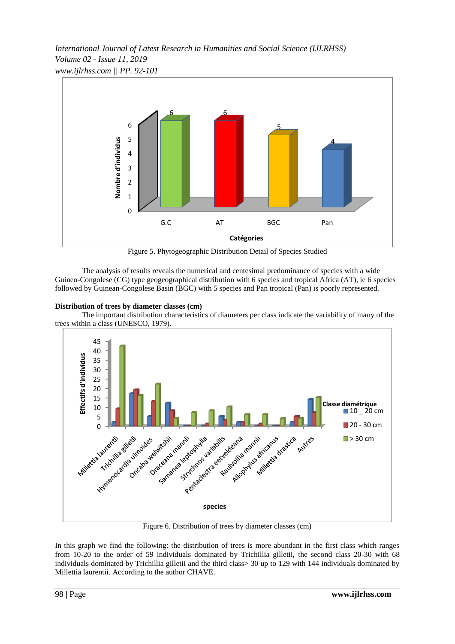*International Journal of Latest Research in Humanities and Social Science (IJLRHSS) Volume 02 - Issue 11, 2019 www.ijlrhss.com || PP. 92-101*



Figure 5. Phytogeographic Distribution Detail of Species Studied

The analysis of results reveals the numerical and centesimal predominance of species with a wide Guineo-Congolese (CG) type geogeographical distribution with 6 species and tropical Africa (AT), ie 6 species followed by Guinean-Congolese Basin (BGC) with 5 species and Pan tropical (Pan) is poorly represented.

# **Distribution of trees by diameter classes (cm)**

The important distribution characteristics of diameters per class indicate the variability of many of the trees within a class (UNESCO, 1979).



Figure 6. Distribution of trees by diameter classes (cm)

In this graph we find the following: the distribution of trees is more abundant in the first class which ranges from 10-20 to the order of 59 individuals dominated by Trichillia gilletii, the second class 20-30 with 68 individuals dominated by Trichillia gilletii and the third class> 30 up to 129 with 144 individuals dominated by Millettia laurentii. According to the author CHAVE.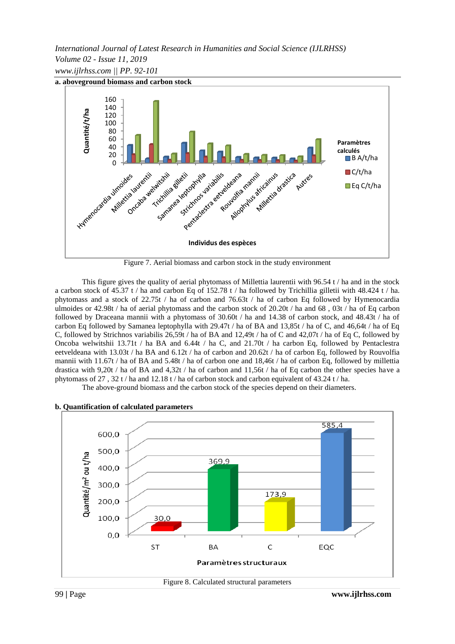*International Journal of Latest Research in Humanities and Social Science (IJLRHSS) Volume 02 - Issue 11, 2019 www.ijlrhss.com || PP. 92-101*



Figure 7. Aerial biomass and carbon stock in the study environment

This figure gives the quality of aerial phytomass of Millettia laurentii with 96.54  $t / ha$  and in the stock a carbon stock of 45.37 t / ha and carbon Eq of 152.78 t / ha followed by Trichillia gilletii with 48.424 t / ha. phytomass and a stock of 22.75t / ha of carbon and 76.63t / ha of carbon Eq followed by Hymenocardia ulmoides or 42.98t / ha of aerial phytomass and the carbon stock of 20.20t / ha and 68 , 03t / ha of Eq carbon followed by Draceana mannii with a phytomass of 30.60t / ha and 14.38 of carbon stock, and 48.43t / ha of carbon Eq followed by Samanea leptophylla with 29.47t / ha of BA and 13,85t / ha of C, and 46,64t / ha of Eq C, followed by Strichnos variabilis 26,59t / ha of BA and 12,49t / ha of C and 42,07t / ha of Eq C, followed by Oncoba welwitshii 13.71t / ha BA and 6.44t / ha C, and 21.70t / ha carbon Eq, followed by Pentaclestra eetveldeana with 13.03t / ha BA and 6.12t / ha of carbon and 20.62t / ha of carbon Eq, followed by Rouvolfia mannii with 11.67t / ha of BA and 5.48t / ha of carbon one and 18,46t / ha of carbon Eq, followed by millettia drastica with 9,20t / ha of BA and 4,32t / ha of carbon and 11,56t / ha of Eq carbon the other species have a phytomass of 27 , 32 t / ha and 12.18 t / ha of carbon stock and carbon equivalent of 43.24 t / ha.

The above-ground biomass and the carbon stock of the species depend on their diameters.



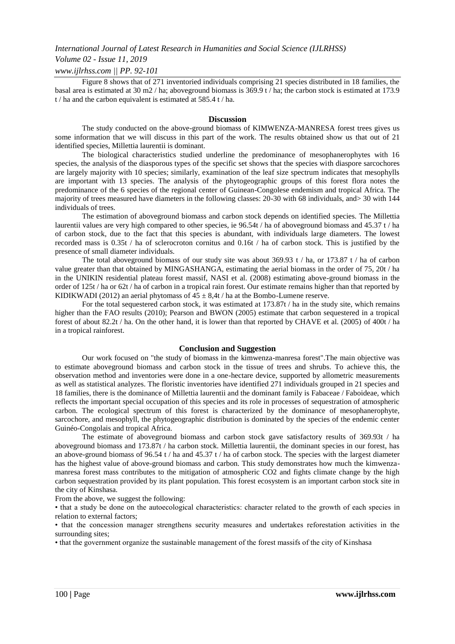## *Volume 02 - Issue 11, 2019*

#### *www.ijlrhss.com || PP. 92-101*

Figure 8 shows that of 271 inventoried individuals comprising 21 species distributed in 18 families, the basal area is estimated at 30 m2 / ha; aboveground biomass is 369.9 t / ha; the carbon stock is estimated at 173.9 t / ha and the carbon equivalent is estimated at 585.4 t / ha.

#### **Discussion**

The study conducted on the above-ground biomass of KIMWENZA-MANRESA forest trees gives us some information that we will discuss in this part of the work. The results obtained show us that out of 21 identified species, Millettia laurentii is dominant.

The biological characteristics studied underline the predominance of mesophanerophytes with 16 species, the analysis of the diasporous types of the specific set shows that the species with diaspore sarcochores are largely majority with 10 species; similarly, examination of the leaf size spectrum indicates that mesophylls are important with 13 species. The analysis of the phytogeographic groups of this forest flora notes the predominance of the 6 species of the regional center of Guinean-Congolese endemism and tropical Africa. The majority of trees measured have diameters in the following classes: 20-30 with 68 individuals, and> 30 with 144 individuals of trees.

The estimation of aboveground biomass and carbon stock depends on identified species. The Millettia laurentii values are very high compared to other species, ie 96.54t / ha of aboveground biomass and 45.37 t / ha of carbon stock, due to the fact that this species is abundant, with individuals large diameters. The lowest recorded mass is 0.35t / ha of sclerocroton cornitus and 0.16t / ha of carbon stock. This is justified by the presence of small diameter individuals.

The total aboveground biomass of our study site was about 369.93 t / ha, or 173.87 t / ha of carbon value greater than that obtained by MINGASHANGA, estimating the aerial biomass in the order of 75, 20t / ha in the UNIKIN residential plateau forest massif, NASI et al. (2008) estimating above-ground biomass in the order of 125t / ha or 62t / ha of carbon in a tropical rain forest. Our estimate remains higher than that reported by KIDIKWADI (2012) an aerial phytomass of  $45 \pm 8,4t$  / ha at the Bombo-Lumene reserve.

For the total sequestered carbon stock, it was estimated at 173.87t / ha in the study site, which remains higher than the FAO results (2010); Pearson and BWON (2005) estimate that carbon sequestered in a tropical forest of about 82.2t / ha. On the other hand, it is lower than that reported by CHAVE et al. (2005) of 400t / ha in a tropical rainforest.

#### **Conclusion and Suggestion**

Our work focused on "the study of biomass in the kimwenza-manresa forest".The main objective was to estimate aboveground biomass and carbon stock in the tissue of trees and shrubs. To achieve this, the observation method and inventories were done in a one-hectare device, supported by allometric measurements as well as statistical analyzes. The floristic inventories have identified 271 individuals grouped in 21 species and 18 families, there is the dominance of Millettia laurentii and the dominant family is Fabaceae / Faboideae, which reflects the important special occupation of this species and its role in processes of sequestration of atmospheric carbon. The ecological spectrum of this forest is characterized by the dominance of mesophanerophyte, sarcochore, and mesophyll, the phytogeographic distribution is dominated by the species of the endemic center Guinéo-Congolais and tropical Africa.

The estimate of aboveground biomass and carbon stock gave satisfactory results of 369.93t / ha aboveground biomass and 173.87t / ha carbon stock. Millettia laurentii, the dominant species in our forest, has an above-ground biomass of 96.54 t / ha and 45.37 t / ha of carbon stock. The species with the largest diameter has the highest value of above-ground biomass and carbon. This study demonstrates how much the kimwenzamanresa forest mass contributes to the mitigation of atmospheric CO2 and fights climate change by the high carbon sequestration provided by its plant population. This forest ecosystem is an important carbon stock site in the city of Kinshasa.

From the above, we suggest the following:

• that a study be done on the autoecological characteristics: character related to the growth of each species in relation to external factors;

• that the concession manager strengthens security measures and undertakes reforestation activities in the surrounding sites;

• that the government organize the sustainable management of the forest massifs of the city of Kinshasa